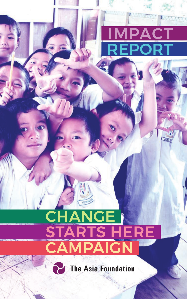# MPACT REPORT

## CHANGE<sub>I</sub> STARTS HERE **CAMPAIGN**



**The Asia Foundation**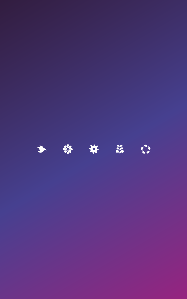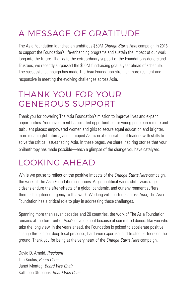## A MESSAGE OF GRATITUDE

The Asia Foundation launched an ambitious \$50M *Change Starts Here* campaign in 2016 to support the Foundation's life-enhancing programs and sustain the impact of our work long into the future. Thanks to the extraordinary support of the Foundation's donors and Trustees, we recently surpassed the \$50M fundraising goal a year ahead of schedule. The successful campaign has made The Asia Foundation stronger, more resilient and responsive in meeting the evolving challenges across Asia.

### THANK YOU FOR YOUR GENEROUS SUPPORT

Thank you for powering The Asia Foundation's mission to improve lives and expand opportunities. Your investment has created opportunities for young people in remote and turbulent places; empowered women and girls to secure equal education and brighter, more meaningful futures; and equipped Asia's next generation of leaders with skills to solve the critical issues facing Asia. In these pages, we share inspiring stories that your philanthropy has made possible—each a glimpse of the change you have catalyzed.

## LOOKING AHEAD

While we pause to reflect on the positive impacts of the *Change Starts Here* campaign, the work of The Asia Foundation continues. As geopolitical winds shift, wars rage, citizens endure the after-effects of a global pandemic, and our environment suffers, there is heightened urgency to this work. Working with partners across Asia, The Asia Foundation has a critical role to play in addressing these challenges.

Spanning more than seven decades and 20 countries, the work of The Asia Foundation remains at the forefront of Asia's development because of committed donors like you who take the long view. In the years ahead, the Foundation is poised to accelerate positive change through our deep local presence, hard-won expertise, and trusted partners on the ground. Thank you for being at the very heart of the *Change Starts Here* campaign.

David D. Arnold, *President* Tim Kochis, *Board Chair* Janet Montag, *Board Vice Chair* Kathleen Stephens, *Board Vice Chair*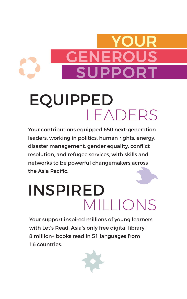# YOUR **GENEROUS** DD EQUIPPED LEADERS

Your contributions equipped 650 next-generation leaders, working in politics, human rights, energy, disaster management, gender equality, conflict resolution, and refugee services, with skills and networks to be powerful changemakers across the Asia Pacific.

# INSPIRED **MILLIONS**

Your support inspired millions of young learners with Let's Read, Asia's only free digital library: 8 million+ books read in 51 languages from 16 countries.

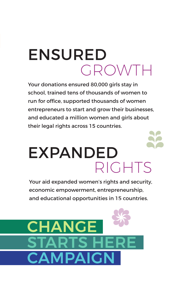# GROWTH ENSURED

Your donations ensured 80,000 girls stay in school, trained tens of thousands of women to run for office, supported thousands of women entrepreneurs to start and grow their businesses, and educated a million women and girls about their legal rights across 15 countries.

# RIGHTS EXPANDED

Your aid expanded women's rights and security, economic empowerment, entrepreneurship, and educational opportunities in 15 countries.

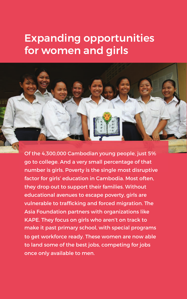## Expanding opportunities for women and girls

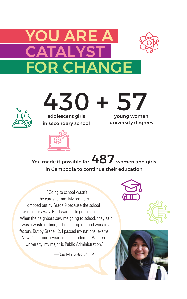



430 + 57 adolescent girls in secondary school

yo ung women university degrees



You made it possible for  $487$  women and girls in Cambodia to continue their education

 "Going to school wasn't in the cards for me. My brothers dropped out by Grade 9 because the school was so far away. But I wanted to go to school. When the neighbors saw me going to school, they said it was a waste of time, I should drop out and work in a factory. But by Grade 12, I passed my national exams. Now, I'm a fourth-year college student at Western University, my major is Public Administration."

—Sao Ma, *KAPE Scholar*



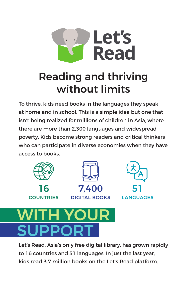

## Reading and thriving without limits

To thrive, kids need books in the languages they speak at home and in school. This is a simple idea but one that isn't being realized for millions of children in Asia, where there are more than 2,300 languages and widespread poverty. Kids become strong readers and critical thinkers who can participate in diverse economies when they have access to books.









Let's Read, Asia's only free digital library, has grown rapidly to 16 countries and 51 languages. In just the last year, kids read 3.7 million books on the Let's Read platform.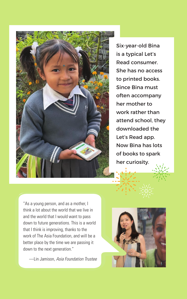

Six-year-old Bina is a typical Let's Read consumer. She has no access to printed books. Since Bina must often accompany her mother to work rather than attend school, they downloaded the Let's Read app. Now Bina has lots of books to spark her curiosity.

"As a young person, and as a mother, I think a lot about the world that we live in and the world that I would want to pass down to future generations. This is a world that I think is improving, thanks to the work of The Asia Foundation, and will be a better place by the time we are passing it down to the next generation."

—Lin Jamison, *Asia Foundation Trustee*

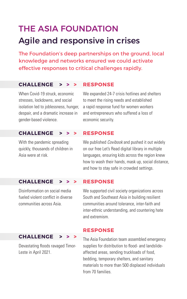## THE ASIA FOUNDATION Agile and responsive in crises

The Foundation's deep partnerships on the ground, local knowledge and networks ensured we could activate effective responses to critical challenges rapidly.

#### **CHALLENGE** > > > **RESPONSE**

When Covid-19 struck, economic stresses, lockdowns, and social isolation led to joblessness, hunger, despair, and a dramatic increase in gender-based violence.

We expanded 24-7 crisis hotlines and shelters to meet the rising needs and established a rapid response fund for women workers and entrepreneurs who suffered a loss of economic security.

#### **CHALLENGE** > > > **RESPONSE**

With the pandemic spreading quickly, thousands of children in Asia were at risk.

### We published *Covibook* and pushed it out widely on our free Let's Read digital library in multiple languages, ensuring kids across the region knew how to wash their hands, mask up, social distance, and how to stay safe in crowded settings.

#### **CHALLENGE** > > > **RESPONSE**

Disinformation on social media fueled violent conflict in diverse communities across Asia.

We supported civil society organizations across South and Southeast Asia in building resilient communities around tolerance, inter-faith and inter-ethnic understanding, and countering hate and extremism.

#### **RESPONSE**

#### **CHALLENGE** > > >

Devastating floods ravaged Timor-Leste in April 2021.

The Asia Foundation team assembled emergency supplies for distribution to flood- and landslideaffected areas, sending truckloads of food, bedding, temporary shelters, and sanitary materials to more than 500 displaced individuals from 70 families.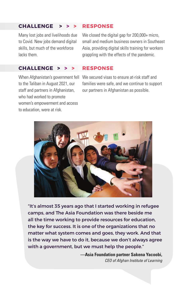#### **CHALLENGE** > > > **RESPONSE**

Many lost jobs and livelihoods due to Covid. New jobs demand digital skills, but much of the workforce lacks them.

We closed the digital gap for 200,000+ micro, small and medium business owners in Southeast Asia, providing digital skills training for workers grappling with the effects of the pandemic.

#### **CHALLENGE** > > > **RESPONSE**

to the Taliban in August 2021, our staff and partners in Afghanistan, who had worked to promote women's empowerment and access to education, were at risk.

When Afghanistan's government fell We secured visas to ensure at-risk staff and families were safe, and we continue to support our partners in Afghanistan as possible.



"It's almost 35 years ago that I started working in refugee camps, and The Asia Foundation was there beside me all the time working to provide resources for education, the key for success. It is one of the organizations that no matter what system comes and goes, they work. And that is the way we have to do it, because we don't always agree with a government, but we must help the people."

> **—Asia Foundation partner Sakena Yacoobi,** *CEO of Afghan Institute of Learning*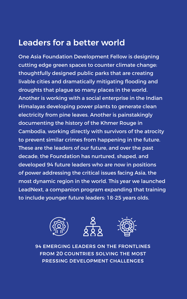### Leaders for a better world

One Asia Foundation Development Fellow is designing cutting edge green spaces to counter climate change: thoughtfully designed public parks that are creating livable cities and dramatically mitigating flooding and droughts that plague so many places in the world. Another is working with a social enterprise in the Indian Himalayas developing power plants to generate clean electricity from pine leaves. Another is painstakingly documenting the history of the Khmer Rouge in Cambodia, working directly with survivors of the atrocity to prevent similar crimes from happening in the future. These are the leaders of our future, and over the past decade, the Foundation has nurtured, shaped, and developed 94 future leaders who are now in positions of power addressing the critical issues facing Asia, the most dynamic region in the world. This year we launched LeadNext, a companion program expanding that training to include younger future leaders: 18-25 years olds.







94 EMERGING LEADERS ON THE FRONTLINES FROM 20 COUNTRIES SOLVING THE MOST PRESSING DEVELOPMENT CHALLENGES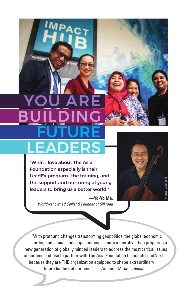## YOU ARE **BUILDING** FUTURE LEADERS

"What I love about The Asia Foundation especially is their LeadEx program—the training, and the support and nurturing of young leaders to bring us a better world."

> **—Yo-Yo Ma,** *World-renowned Cellist & Founder of Silkroad*



 "With profound changes transforming geopolitics, the global economic order, and social landscape, nothing is more imperative than preparing a new generation of globally minded leaders to address the most critical issues of our time. I chose to partner with The Asia Foundation to launch LeadNext because they are THE organization equipped to shape extraordinary future leaders of our time." — Amanda Minami**,** *donor*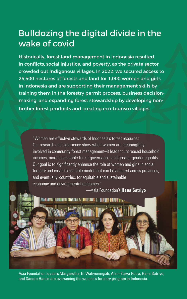### Bulldozing the digital divide in the wake of covid

Historically, forest land management in Indonesia resulted in conflicts, social injustice, and poverty, as the private sector crowded out indigenous villages. In 2022, we secured access to 25,500 hectares of forests and land for 1,000 women and girls in Indonesia and are supporting their management skills by training them in the forestry permit process, business decisionmaking, and expanding forest stewardship by developing nontimber forest products and creating eco-tourism villages.

"Women are effective stewards of Indonesia's forest resources. Our research and experience show when women are meaningfully involved in community forest management–it leads to increased household incomes, more sustainable forest governance, and greater gender equality. Our goal is to significantly enhance the role of women and girls in social forestry and create a scalable model that can be adapted across provinces, and eventually, countries, for equitable and sustainable economic and environmental outcomes."

—Asia Foundation's **Hana Satriyo**



Asia Foundation leaders Margaretha Tri Wahyuningsih, Alam Surya Putra, Hana Satriyo, and Sandra Hamid are overseeing the women's forestry program in Indonesia.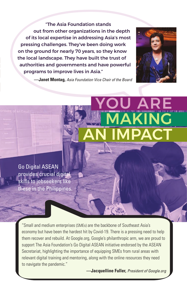"The Asia Foundation stands out from other organizations in the depth of its local expertise in addressing Asia's most pressing challenges. They've been doing work on the ground for nearly 70 years, so they know the local landscape. They have built the trust of authorities and governments and have powerful programs to improve lives in Asia."



 **—Janet Montag,** *Asia Foundation Vice Chair of the Board*

## **YA** AKING AN IMPACT

Go Digital ASEAN provides crucial digital skills to jobseekers like these in the Philippines.

"Small and medium enterprises (SMEs) are the backbone of Southeast Asia's economy but have been the hardest hit by Covid-19. There is a pressing need to help them recover and rebuild. At Google.org, Google's philanthropic arm, we are proud to support The Asia Foundation's Go Digital ASEAN initiative endorsed by the ASEAN Secretariat, highlighting the importance of equipping SMEs from rural areas with relevant digital training and mentoring, along with the online resources they need to navigate the pandemic."

**—Jacquelline Fuller,** *President of Google.org*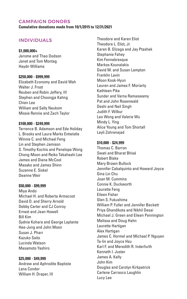#### CAMPAIGN DONORS

**Cumulative donations made from 10/1/2015 to 12/31/2021**

#### INDIVIDUALS

#### **\$1,000,000+**

Jerome and Thao Dodson Janet and Tom Montag Haydn Williams

#### **\$250,000 - \$999,999**

Elizabeth Economy and David Wah Walter J. Frost Reuben and Robin Jeffery, III Stephen and Choongja Kahng Chien Lee William and Sally Neukom Missie Rennie and Zach Taylor

#### **\$100,000 - \$249,999**

Terrence B. Adamson and Ede Holiday L. Brooks and Laura Marks Entwistle Winnie C. and Michael Feng Lin and Stephen Jamison S. Timothy Kochis and Penelope Wong Chong-Moon and Reiko Takahashi Lee James and Diana McCool Masako and James Shinn Suzanne E. Siskel Deanne Weir

#### **\$50,000 - \$99,999**

Miya Ando Michael H. and Roberta Armacost David D. and Sherry Arnold Debby Carter and CJ Conroy Ernest and Jean Howell Bill Kim Sydnie Kohara and George Laplante Hee-Jung and John Moon Susan J. Pharr Kazuko Saito Lucinda Watson Masamoto Yashiro

#### **\$25,000 - \$49,999**

Andrew and Aphrodite Baptiste Lana Condor William H. Draper, III

Theodore and Karen Eliot Theodore L. Eliot, Jr. Karen B. Elizaga and Jay Ptashek Stephanie Fahey Kim Fennebresque Markos Kounalakis David M. and Susan Lampton Franklin Lavin Moon Kook-Hyun Lauren and James F. Moriarty Kathleen Pike Sunder and Varna Ramaswamy Pat and John Rosenwald Deshi and Neil Singh Judith F. Wilbur Leo Wong and Valerie Wu Mindy L. Ying Alice Young and Tom Shortall Leyli Zohrenejad

#### **\$10,000 - \$24,999**

Thomas C. Barron Swati and Bharat Bhisé Robert Blake Mary Brown Bullock Jennifer Cabalquinto and Howard Joyce Gina Lin Chu Joan M. Cummins Connie K. Duckworth Laurette Feng Eileen Fisher Glen S. Fukushima William P. Fuller and Jennifer Beckett Priya Ghandikota and Nikhil Desai Michael J. Green and Eileen Pennington Melissa and Doug Hahn Laurette Hartigan Alex Hartigan James C. Hormel and Michael P. Nguyen Ta-lin and Joyce Hsu Karl F. and Meredith R. Inderfurth Kenneth I. Juster James A. Kelly John Kim Douglas and Carolyn Kirkpatrick Carlene Carrasco Laughlin Lucy Lee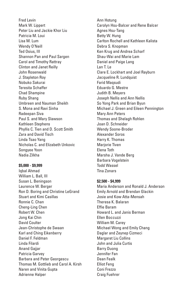Fred Levin Mark W. Lippert Peter Liu and Jackie Khor Liu Patricia M. Loui Lisa M. Lum Wendy O'Neill Ted Osius, III Shannon Pan and Paul Sargen Carol and Timothy Rattray Clinton and Janet Reilly John Rosenwald J. Stapleton Roy Nobuko Sakurai Teresita Schaffer Chad Shampine Ruby Shang Umbreen and Nauman Sheikh S. Mona and Ravi Sinha Radeepan Siva Paul S. and Mary Slawson Kathleen Stephens Phyllis C. Tien and D. Scott Smith Zara and David Tisch Linda Tsao Yang Nicholas C. and Elizabeth Unkovic Songyee Yoon Nadia Zilkha

#### **\$5,000 - \$9,999**

Iqbal Ahmad William L. Ball, III Susan L. Beningson Laurence W. Berger Ron D. Boring and Christine LeGrand Stuart and Kimi Casillas Ronnie C. Chan Cheng-Ling Chen Robert W. Chen Jong Kai Chin David Coulter Jean-Christophe de Swaan Karl and Ching Eikenberry Daniel F. Feldman Linda Filardi **Anand Gaijar** Patricia Garvey Barbara and Peter Georgescu Thomas M. Gottlieb and Carol A. Kirsh Naren and Vinita Gupta Adrienne Halper

Ann Hotung Carolyn Hsu-Balcer and Rene Balcer Agnes Hsu-Tang Betty W. Hung Carlton Rochell and Kathleen Kalista Debra S. Knopman Ken Krug and Andrea Scharf Shau-Wai and Marie Lam Daniel and Paige Lang Lan T. Le Clare E. Lockhart and Joel Rayburn Jacqueline R. Lundquist Farid Maqsudi Eduardo G. Mestre Judith B. Meyers Joseph Nellis and Ann Nellis So Yong Park and Brian Byun Michael J. Green and Eileen Pennington Mary Ann Peters Thomas and Shelagh Rohlen Joan D. Schneider Wendy Soone-Broder Alexander Soros Harry K. Thomas Marjorie Tiven Elena Toth Marsha J. Vande Berg Barbara Vogelstein Todd Wassel Tina Zonars

#### **\$2,500 - \$4,999**

Maria Anderson and Ronald J. Anderson Emily Arnold and Brendan Glackin Josie and Kow Atta-Mensah Theresa K. Balaran Effie Baram Howard L. and Janis Berman Ellen Boccuzzi William M. Carey Michael Wong and Emily Chang Daglar and Zeynep Cizmeci Margaret Liu Collins John and Julia Curtis Barry Duong Jennifer Fan Dean Fealk Elliot Feng Coni Frezzo Craig Fuehrer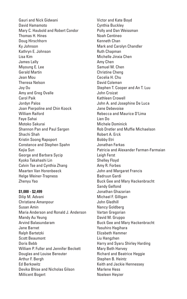Gauri and Nick Gidwani David Hamamoto Mary C. Haubold and Robert Condor Thomas H. Hines Doug Hirschhorn Ky Johnson Kathryn E. Johnson Lisa Kim James Lally Miyoung E. Lee Gerald Martin Jean Mou Theresa Nelson Joy Ou Amy and Greg Ovalle Carol Paik Jordyn Palos Joan Pierpoline and Chin Koock William Raiford Faye Sahai Motoko Sakurai Shannon Pan and Paul Sargen Shachi Shah Kristin Soong Rapoport Constance and Stephen Spahn Kejia Sun George and Barbara Sycip Kyoko Takahashi Lin Calvin Tse and Cynthia Zhang Maarten Van Horenbeeck Helge Weiner-Trapness Zhenyu Yao

#### **\$1,000 - \$2,499**

Dilip M. Advani Christiane Amanpour Susan Amin Maria Anderson and Ronald J. Anderson Mandy Au Yeung Arvind Balasundaram Jane Barnet Ralph Bartetzki Scott Beaumont Doris Bebb William P. Fuller and Jennifer Beckett Douglas and Louise Bereuter Arthur F. Bergh Ed Berkowitz Devika Bhise and Nicholas Gilson Millicent Bogert

Victor and Kate Boyd Cynthia Buckley Polly and Dan Weissman Noah Centineo Kenneth Chan Mark and Carolyn Chandler Ruth Chapman Michelle Jinxia Chen Amy Chen Samuel M. Chen Christine Cheng Cecelia H. Chu David Coleman Stephen T. Cooper and An T. Luu John Croizat Kathleen Crowell John A. and Josephine De Luca Jane Debevoise Rebecca and Maurice D'Lima Lien Do Michele Dominick Rob Dretler and Muffie Michaelson Robert A. Erck Bobby Etri Jonathan Farkas Patricia and Alexander Farman-Farmaian Leigh Ferst Shelley Floyd Amy R. Forbes John and Margaret Francis Badruun Gardi Buck Gee and Mary Hackenbracht Sandy Gelfond Jonathan Ghazarian Michael F. Gilligan John Gledhill Nancy Goldberg Vartan Gregorian David M. Gruppo Buck Gee and Mary Hackenbracht Yasuhiro Hagihara Elizabeth Hammer Liu Hangzhen Harry and Syaru Shirley Harding Mary Beth Harvey Richard and Beatrice Heggie Stephen B. Heintz Keith and Jackie Hennessey Marlene Hess Noeleen Heyzer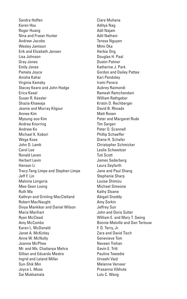Sandra Hoffen Karen Hsu Roger Huang Nina and Fraser Hunter Andrew Jacobs Wesley Jamison Erik and Elizabeth Jensen Lisa Johnson Gray Jones Emily Jones Pamela Joyce Anisha Kahai Virginia Kamsky Stacey Keare and John Hodge Erica Kesel Susan R. Kessler Shazia Khawaja Jeanie and Murray Kilgour Annee Kim Myoung-soo Kim Andrea Knorring Andrew Ko Michael K. Kobori Wega Koss John D. Lamb Carol Lee Ronald Leven Herbert Levin Hanson Li Tracy Tang Limpe and Stephen Limpe Jeff F. Lin Malvina Longoria Mee-Seen Loong Ruth Ma Kathryn and Grinling MacClelland Robert MacNaught Divya Mankikar and Daniel Wilson Maria Marihart Ryan McClead Amy McCombs Karen L. McDonald Janet A. McKinley Anne W. McNulty Joanne McPhee Mr. and Ms. Chaitanya Mehra Gillian and Eduardo Mestre Ingrid and Leland Miller Sun-Shik Min Joyce L. Moss Sai Mukkamala

Clare Muñana Aditya Nag Adil Najam Adil Nathani Teresa Nguyen Mimi Oka Herbie Ong Douglas H. Paal Dustin Palmer Katherine J. Park Gordon and Dailey Pattee Kari Pendoley Iromi Perera Aubrey Raimondi Ramesh Ramchandani William Rathgeber Kristin D. Rechberger David B. Rhoads Matt Rosen Peter and Margaret Rude Tim Sargen Peter O. Scannell Phillip Schaeffer Diane H. Schafer Christopher Schmicker Leslie Schweitzer Tuti Scott James Sederberg Laura Seyfarth Jane and Paul Shang Stephanie Sharp Louise Shimizu Michael Simeone Kathy Sloane Abigail Snoddy Amy Sorkin Jeffrey Sun John and Doris Sutter William E. and Mary T. Swing Bonnie Melville and Dan Terlouw F. D. Terry, Jr. Zara and David Tisch Genevieve Tom Naveen Trehan Gavin E. Tritt Pauline Tweedie Urvashi Vaid Melanne Verveer Prasanna Vibhute Lulu C. Wang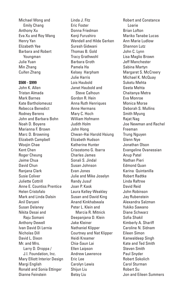Michael Wong and Emily Chang Anthony Xu Eva Xu and Roy Wang Henry Yan Elizabeth Yee Barbara and Robert Youngman Julie Yuan Min Zhang Cuifen Zhang

**\$500 - \$999** John K. Allen Tristan Almada Mark Barnes Kate Bartholomeusz Rebecca Benedict Rodney Berens John and Barbara Bohn Noah D. Boyens Marianna F. Brown Marc D. Browning Elizabeth Campbell Woojin Chae Kent Chen Roger Cheung Jaime Chua David Chun Ranjana Clark Susie Coliver Juliette Cottrill Anne E. Countiss Prentice Helen Cristofalo Mark and Linda Dalsin Anil Daryani Susan Delaney Nikita Desai and Raju Somani Anthony Dewell Ivan David Di Lernia Nicholas Dill David L. Dixon Mr. and Mrs. Larry D. Droppa / J.I. Foundation, Inc. Mary Elliott Interior Design Margi English Ronald and Sonia Ettinger Dianne Feinstein

Linda J. Fitz Eric Foster Donna Friedman Kenji Furushiro Wendell and Hilde Gerken Suresh Gidwani Thomas B. Gold Tracy Grathwohl Barbara Groth Pamela Ha Kelsey Harpham Julie Harris Lois Haubold Janet Haubold and Steve Calhoun Gordon R. Hein Anna Ruth Henriques Anne Hermans Mary C. Hoch William Hofmann Judith Holm John Hong Chwan-Hai Harold Hsiung Elizabeth Hudson Katherine Hunter Crisostomo G. Ibarra Charles James Sonali S. Jindal Susan Johnson Evan Jones Julie and Mike Joselyn Randy Jusuf Joan P. Kask Laura Kelley-Weakley Susan and David King Anand Kinkhabwala Peter L. Klein and Marcia R. Mitnick Deepanjana D. Klein Jake Kleiner Nathaniel Klipper Courtney and Nat Klipper Heidi Kreamer Chia-Saun Lai Ellen Laipson Andrew Lawrence Eric Lee Carolyn Lewis Shijun Liu Betsy Liu

Robert and Constance Loarie Brian Lofton Mariko Tanabe Lucas Ann Marie Ludlow Shannon Lutz John C. Lynn Lisa Maglio Brown Jeff Manchester Sabina Martyn Margaret S. McCreery Michael K. McQuay Suketu Mehta Geeta Mehta Chaitanya Metra Eva Monroe Monica Morse Deborah S. Mullins Smith Myung Rajat Nag Joe Newman and Rachel Freeman Trung Nguyen Glenn Nye Jonathan Olson Evangeline Ovanessian Anup Patel Nathan Pieri Edmond Quan Karina Quintanilla Robert Radtke Linda Raftree David Reid John Robinson Jay Rubenstein Alexandra Salzman Yukiko Sawano Diane Schwarz Sofia Shakil Kimberly A. Shariff Caroline N. Sidnam Eileen Simon Kanwaldeep Singh Kate and Ted Smith Steven Smith Paul Snyder Robert Sokolich Carol Sturman Robert Su Jon and Eileen Summers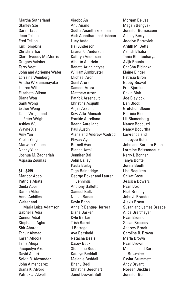Martha Sutherland Stanley Sze Sarah Taber Jean Teillon Fred Teillon Kirk Tompkins Christina Tse Clare Tweedy McMorris Gregory Vaisberg Terry Vogt John and Adrienne Wafer Lorraine Weinberg Arittha Wikramanayake Lauren Williams Elizabeth Wilson Diana Won Santi Wong Esther Wong Tania Wright and Peter Wright Ashley Wu Wayne Xia Amy Yan Yuelin Yang Marwan Younes Nancy Yuan Joshua M. Zachariah Aspasia Zoumas

#### **\$1 - \$499**

Maricor Abao Patricia Abate Smita Abbi Darian Ablon Anna Achilles Walter and Maria Luiza Adamson Gabriella Adia Connor Adsit Stephanie Agbu Shir Aharon Tanvir Ahmad Karan Ahooja Tania Ahuja Jacquelyn Aker David Albert Sylvia R. Alexander John Almendarez Diana K. Alvord Patrick J. Alwell

Xiaobo An Anu Anand Sudha Ananthakrishnan Aish Anantharamakrishnan Lucy Anda Hali Anderson Lauren C. Anderson Kathryn Anderson Alberto Aparicio Renata Arianingtyas William Armbruster Michael Aron Sunil Arora Sameer Arora Matthew Arroz Patrick Arsenault Christina Asquith Anjali Assomull Kow Atta-Mensah Frankie Aurellano Reena Aurellano Paul Austin Alana and Andrew Axelrod Phway Aye Burnell Ayers Bianca Azmi Jennifer Bai John Bailey Paula Bailey Tega Bainbridge George Baker and Lauren **Jennings** Anthony Balletto Samuel Baltz Nicole Banas Kevin Banh Anna P. Bantug-Herrera Diane Barker Kyle Barker Trish Barrett J Barroga Ava Barsbold Natasha Beale Casey Beck Stephane Bedat Katelyn Beddall Melanie Beddall Bhanu Bedi Christina Beechert Janet Dewart Bell

Morgan Belveal Megan Bengyak Jennifer Bernasconi Ashley Berry Jocelyn Bertovich Ardith M. Betts Ashish Bhatia Tania Bhattacharya Avijit Bhunia ChaCha Bibingka Elaine Binger Patricia Biron Bobby Biswal Eric Bjornlund Gavin Blair Joe Blaylock Ben Block Gretchen Bloom Patricia Bloom Lili Blumenberg Nancy Boccuzzi Nancy Bodurtha Lawrence and Joyce Bohan John and Barbara Bohn Lorraine Boissoneault Kerry L Bonner Tanya Bonte Jenna Booth Lisa Boquiren Saikat Bose Jessica Bowers Ryan Box Nick Bradley John J. Brandon Alexis Bravo Susan and James Breece Alice Breitmeyer Ryan Brenner Susan Bresney Andrew Brock Caroline R. Brown Marla Brown Ryan Brown Malcolm and Sarah Brownlee Skylar Brummett Andy Bryant Noreen Buckfire Jennifer Bui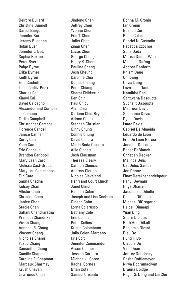Deirdre Bullard Christine Bunnell Daniel Burge Jennifer Burns Jeremy Busacca Robin Bush Jennifer L. Butz Sophia Buxton Peter Byers Paige Byrne Erika Byrnes Keith Byron Ellie Cachette Louis Caditz-Peck Charles Cai Xiaoyi Cai David Calcagno Alexander and Cornelia Calhoun Tarikh Campbell Christopher Campbell Florence Candel Janice Cannan Corey Cao Yuan Cao Eric Cappello Brandon Carlopoli Mary Jean Caro Melissa Cast-Brede Mary Lou Castellanos Elin Cate Sapna Chadha Kelsey Chan Allister Chan Christine Chan Janice Chan Stacie Chan Sahani Chandraratna Pramoth Chandrika Vivian Chang Annabel R. Chang Vincent Chang Nicholas Chang Yusup Chang Samantha Chang Camille Chapman Caroline E. Chapman Margaux Charmey Krush Chavan Lawrence Chen

Jindong Chen Jeffrey Chen Yvonne Chen Eric T. Chen Juliet Chen Zinan Chen Lucas Chen George Cheng Henry K. Cheng Pauline Cheng Josh Cheung Caroline Chia Denise Chiang Peter Chiang Sharat Chikkerur Ken Chin Paul Chiou Alan Chiu Darlene Chiu-Bryant Allison Chock Stephen Christian Ginny Chung Connie Chung David Ciciora Maria Roda Cisnero Allie Clagett Josh Clausman Theresa Cleary Carmen Clemsic Andrew Clerico Nicolas Cleveland Henri and Court Clinch Janel Clinch Hannah Cobin Joseph and Lisa Cochran Gideon Cohn Lorna Colarusso Bethany Cole Erin Collins Peter Collins Kristin Colombano Julio Colon-Marcano Kris Colt Jennifer Commander Alison Conner Jessica Cordero Michael J. Coren Rachel Cornes Brian Cota Samuel Crisanto

Donna M. Cronin Ian Cronin Boshen Cui Rahul Culas Gabriel N. Custodio Rebecca Czochor Sofia Dada Marisa Dadap-Wilson Midnight DaDog Andrea Danforth Khiem Dang Chi Dang Olivia Dang Lawrence Danter Nanditha Das Santwana Dasgupta Subhajit Dasgupta Maureen David Stephanie Davis Dylan Davis Isaac Davis Gabriel De Almeida Eduardo de Leon Eric De Leon Garcia Jennifer De Lotto Roger DeBlanck Christian Decker Melinda Delis Cat Delos Santos Jon Denny Elnaz Derakhshandehpour Rahul Devnani Priya Dhanani Jacqueline Dibello Cristina DiCocco Michael DiGregorio Heidell Dimaapi Yuan Ding Sherri Dipietro Beth Ann Ditkoff Benjamin Dizard Bieu Do Hung T. Do Claudia Do Vinh Doan Jeffrey Dobrinsky Sasha Dofflemeyer Nirva Dogramaciyan Brauna Doidge Roger S. Dong and Lai Chu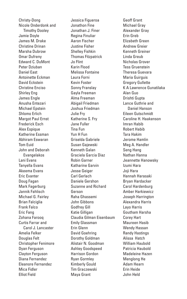Christy-Dong Nicole Onderdonk and Timothy Dooley Jamie Doyle James M. Drake Christine Drinan Marsha Dubrow Omar Dufreny Edward C. DuMont Peter Dziuban Daniel East Antoinette Eckman David Eckstein Christine Enciso Shirley Eng James Engle Anusha Entezari Michael Epstein Shlomo Erlich Margot Paul Ernst Frederick Esch Alex Espique Katherine Essman Abhiram Eswaran Tom Euid John and Deborah Evangelakos Lani Evans Tanyella Evans Akeema Evans Eric Evanter Doug Fagan Mark Fagerburg Jannik Fahlisch Michael G. Fairley Brian Falciglia Frank Falco Eric Fang Zohana Farooq Curtis Farrar and Carol J. Lancaster Amelia Felker Douglas Felt Christopher Fenimore Dyan Ferguson Clayton Ferguson Diana Fernandez Eleanore Fernandez Mica Fidler Elliot Field

Jessica Figueroa Jonathon Fine Jonathan J. Finer Regina Finuliar Aaron Fischer Justine Fisher Shelley Fishkin Thomas Fitzpatrick Jo Flint Karin Flood Melissa Fontaine Laura Forni Kevin Foster Sonny Franslay Gayla Freeman Alma Freeman Abigail Friedman Joshua Friedman Julie Fry Katherine S. Fry Jane Fuller Tina Fun Yun H Fun Griselda Gabriele Susan Gajewski Kenneth Galan Graciela Garcia Diaz Robin Garner Katharine Garvin Jesse Geiger Carl Gerlach Daniele Gershon Suzanne and Richard Gerson Raha Ghassemi John Gibbons Godfrey Gill Katie Gilligan Claudia Gilman Eisenbaum Emily Glassman Erin Glenn David Goehring Dorothy Goldman Alistair N. Goodman Ashley Goodspeed Harrison Gordon Ryan Gormley Kimberly Gould Tim Graczewski Maya Grant

Geoff Grant Michael Gray Alexander Gray Erin Greb Elizabeth Green Andrew Greier Kenneth Greiner Linda Greub Nicholas Grover Tess Gruenstein Theresa Guevara Maria Guirguis Gregory Gullette K A Lawrence Gunatilaka Alan Guo Drishti Gupta Lance Guthrie and Daniel Hanson Eileen Gutschmidt Caroline H. Haakenson Imran Habib Robert Habib Tara Hakim Jerome Hamlin Meg A. Handler Seng Hang Nathan Hanna Jeannette Hanowsky Izumi Hara Joji Hara Hannah Harasaki Bryan Hardacker Carol Hardenburg Amber Harkiewicz Joseph Harrington Alexandra Harris Layo Harris Goutham Harsha Corey Hart Maureen Hasib Wendy Hassan Randy Hastings Alissa Hatch William Haubold Patricia Haubold Madeleine Hazen Menglong He Adam Hearn Erin Heide John Held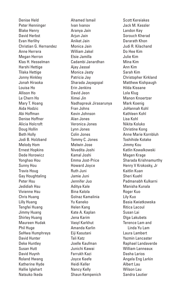Denise Held Peter Henninger Blake Henry David Herbst Evan Herlihy Christian G. Hernandez Anne Herrera Megan Herron Klas H. Hesselman Harshi Hettige Tilaka Hettige Jonny Hinkley Jonah Hiraoka Louisa Ho Allison Ho Le Chern Ho Mary T. Hoang Aida Hodzic Abi Hoffman Denise Hoffner Alicia Holcroft Doug Hollin Beth Holly Jodi B. Holzband Melody Hom Ernest Hopkins Dede Horowicz Yonghao Hou Sunny Hou Travis Houg Gay Houghtaling Peter Hsu Jedidiah Hsu Vivienne Hsu Chris Huang Lilly Huang Tengfei Huang Jimmy Huang Shirley Huang Maureen Hudak Phil Huge SeHwa Humphreys David Hunter Deke Huntley Susan Hutt David Huynh Roland Hwang Katherine Hyde Hallie Iglehart Natsuko Ikeda

Ahamed Ismail Ivan Ivanov Aranya Jain Arjun Jain Aniket Jain Monica Jain William Jakel Elsie Jamilla Cadambi Janardhan Ajay Jassal Monica Jasty Patricia Jay Sharada Jayagopal Erin Jenkins David Jeon Ximei Jin Nadhapreuk Jirasarunya Fran Johns Kevin Johnson Alan Jones Veronica Jones Lynn Jones Colin Jones Tommy C. Jones Melwin Jose Nivedita Joshi Kamal Joshi Emma Jost-Price Howard Joyce Ruth Juni Jamie Juni Jennifer Juo Aditya Kale Bina Kalola Golnaz Kamalinia Yu Kaneko Helen Kang Kate A. Kaplan Jena Karim Vasyl Karkhut Amanda Karlin Eiji Kasutani Tali Katz Joelle Kaufman Junichi Kawai Farrukh Kazi Joyce Keefe Heidi Keller Nancy Kelly Shaun Kempenich

Scott Kereiakes Jack M. Kessler Landon Key Sorouch Kherad Dararath Khon Judi R. Kilachand Do Hee Kim Julie Kim Mina Kim Ann Kim Sarah Kim Christopher Kirkland Matthew Kishpaugh Hilda Kissane Lola Klug Manon Knoertzer Mark Koenig JoHannah Kohl Kathleen Kohl Lisa Kohl Nikita Koluko Christine Kong Anne Marie Kornbluh Toshihide Kotake Jimmy Kou Katlin Kowalkowski Magen Krage Sharada Krishnamurthy Henry V Krokosky, Jr Kaitlin Kuan Sheri Kuehl Padmanabh Kulkarni Manisha Kunala Roger Kuo Lily Kuo Basia Kwiatkowska Ritica Lacoul Susan Lai Olga Lakubets Terence Lam and Linda Yu Lam Laura Lambert Yazmin Lancaster Raphael Landaverde William Lanneaux Dasha Larios Angela Eng Larkin Albert Lau Wilson Lau Sandra Lautier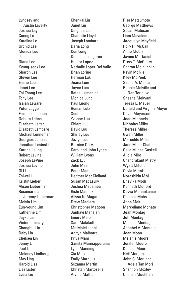Lyndsey and Austin Laverty Joshua Lay Cuong Le Katalina Le Orchid Lee Monica Lee J. Lee Diana Lee Kyung-sook Lee Sharon Lee Steven Lee Elaine Lee Janet Lee Zhi Zhong Lee Tony Lee Isaiah LeGare Peter Legge Emilia Lehmonen Debora Lehrer Elizabeth Leiter Elizabeth Lemberg Michael Lenneman Georgios Lentzas Jonathan Lesinski Katrina Leung Robert Levine Joseph LeVine Joshua Levine Qi Li Zhiwei Li Kristin Lieber Alison Lieberman Rosemarie and Jeremy Lieberman Melvin Lim Eun-young Lim Katherine Lim Jayke Lim Victoria Limary Changhui Lin Daby Lin Chelsea Lin Jenny Lin Joel Lin Meloney Lindberg May Ling Harold Liss Lisa Lister Lydia Liu

Chenkai Liu Janet Liu Qinghua Liu Charlotte Lloyd Joseph Lombardi Daria Long Ken Long Domenic Longarini Hector Lopez Nathalie Lopez Del Valle Brian Loring Herman Luk Juana Lum Joyce Lum Rafael Lumanlan Monica Lund Paul Luong Roman Lutz Scott Luu Yvonne Luu Chiara Luu David Luu Shirley Luu Jazlyn Luu Bernice Q. Ly Carol and John Lyden William Lyons Zack Lyu John Maa Peter Maa Heather MacClelland Susan MacLaury Joshua Madamba Rishi Madhok Allysa N. Magat Drew Magiera Christopher Magoon Janhavi Mahajan Emery Major Sara Malakoff Mo Malekshahi Aditya Malhotra Priya Mani Samita Mannapperuma Lynn Manning Xia Mao Emily Margulis Suzanna Martin Christen Martosella Arvind Mathur

Risa Matsumoto George Matthews Susan Matusan Liam Mayclem Jacquelyn Mayfield Polly H. McCall Anne McClain Jayme McDaniel Drew T. McGeary Sharon Mclaughlin Kevin McNiel Kiley McPeek Sapna A. Mehta Bonnie Melville and Dan Terlouw Sheena Melwani Teresa E. Meuer Donald and Virginia Meyer David Meyerson Joan Michaels Nicholas Milby Therese Miller Gwen Miller Marcelite Miller Jane Miller Chai Celia Milnes Gaskell Alicia Miro Chandrakant Mistry Wyatt Mitchell Olivia Mittak Norashikin MM Bhavika Modi Kenneth Mofford Kavya Mohankumar Chelsea Mohs Anna Mok Marceliano Monato Jean Montag Jeff Montag Melanie Montag Annabel V. Montout Joan Moon Melanie Moore Jenifer Moore Kendall Moore Neil Morgan John G. Mori and Adela Tan Mori Shannon Moxley Chintan Muchhala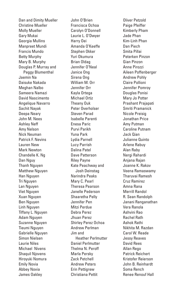Dan and Dimity Mueller Christine Mueller Molly Mueller Gary Mukai Georgia Mullins Manpreet Mundi Francis Mundo Betty Murphy Mary B. Murphy Douglas P. Murray and Peggy Blumenthal Jaemin Na Daisuke Nakada Meghan Nalbo Sameera Namazi David Nascimento Angelique Navarro Sachit Nayak Deepa Neary John M. Nees Ashley Neff Amy Nelson Nick Neuman Patrick F. Nevins Lauren New Mark Newton Chandelle K. Ng Dan Nguy Thanh Nguyen Matthew Nguyen Han Nguyen Tri Nguyen Lan Nguyen Viet Nguyen Xuan Nguyen Ben Nguyen Linh Nguyen Tiffany L. Nguyen Adam Nguyen Suzanne Nguyen Tieumi Nguyen Gabrielle Nguyen Simon Nielsen Laurie Niles Michael Nivens Shaquil Njovens Hiroyuki Nomura Emily Novia Abbey Novia James Oakley

John O'Brien Francisca Ochoa Carolyn O'Donnell Laurie L. O'Dwyer Harry Oei Amanda O'Keeffe Stephen Okker Yuri Okumura Brian Oldag Jennifer O'Neal Janice Ong Sirena Ong William M. Orr Jennifer Orr Kayla Ortega Michael Ortiz Theany Ouk Peter Overholser Steven Parad Isabelle Parenti Enesa Paric Purvi Parikh Yuna Park Lydia Parnell Lucy Parrish Dalina Patel Dave Patterson Riley Payne Kate Peachway and Josh Deinstag Narindra Peaks Mary C. Pearl Theresa Pearson Janelle Pederson Shaaretha Pelly Jennifer Pen Mitzi Perdue Debra Perez Jhuan Perez Shirley Perez Ochoa Andrew Perlman Jim and Heather Perlmutter Daniel Perlmutter Thelma N. Peroff Marla Persky Zack Petchell Andrew Peters Erin Pettigrew Christiana Pettit

Oliver Petzold Paige Pfeiffer Kimberly Pham Jade Phan Kim-Linh Phan Dan Piech Smita Pillai Peterken Pinzon Gian Pinzon Anne Pirozzi Aileen Poffenberger Andrew Pohly Claire Pollioni Jennifer Pomroy Douglas Ponisi Mary Jo Potter Prashant Prajapati Smriti Pramanick Nicole Preisig Jonathan Price Amy Putman Caroline Putnam Jack Qian Julianne Quinto Arlene Rabuy Alan Raby Nergi Rahardi Anjana Rajan Joanne K. Rakov Veena Ramaswamy Tharuvai Ramesh Cruz Ramirez Amna Rana Merrill Randol R. Sean Randolph Janani Ranganathan Vera Ranola Ashvini Rao Rachel Rath Ashok Rathi Nikhita M. Razdan Carol W. Reade Jessy Reaves David Rees Allan Rego Patrick Reichert Kristofer Reierson John B. Reinhardt Soma Rench Renee Renouf Hall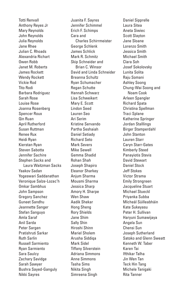Totti Renvall Anthony Reyes Jr Mary Reynolds John Reynolds Julia Reynolds Jane Rhee Julian C. Rhoads Alexandria Richart Owen Robb Janet M. Roberts James Rockett Wendy Rockett Vickie Rod Tito Rodi Barbara Rodriguez Sarah Rose Louise Rose Joanna Rosenberg Spencer Roux Qin Ruan April Rutherford Susan Ruttman Renee Rux Heidi Ryan Kierstan Ryan Steven Sabotta Jennifer Sachire Stephen Sacks and Laura Waitzman Sacks Yaakov Sadan Yogeswari Saddanathan Veronique Salze-Lozac'h Omkar Sambhus John Sampson Gregory Sanchez Guneet Sandhu Jeannette Sanger Stefan Sanguyo Amla Saraf Anil Sarda Peter Sargen Pratishruti Sarkar Ruth Sarlin Russell Sarmiento Ryan Sarmiento Sara Saulcy Zachary Savidge Sarah Sawyer Bushra Sayed-Ganguly Nikki Sayres

Juanita F. Sayres Jennifer Schimmel Erich F. Schimps Cara and Charles Schirrmeister George Schlenk James Schlick Mark R. Schmitz Skip Schneider and Brian C. Winsor David and Linda Schneider Breanna Schultz Ryan Schumacher Regan Schutte Hannah Schwarz Lisa Schweikert Mary E. Scott Lindon Seed Lauren Seo Ari Serim Kristine Servando Partha Seshaiah Daniel Setiady Richard Seto Mark Severs Mike Sewell Gemma Shadid Rohan Shah Joseph Shapiro Eleanor Sharkey Anjum Sharma Mousmi Sharma Jessica Sharp Amory H. Sharpe Wen Shaw Aadik Shekar Hong Sheng Rory Shields Jane Shim Sally Shin Hiroshi Shinn Mariel Sholem Arusha Siddiqa Mark Sidel Tiffany Silverstein Adriana Simmons Anne Simmons Tasha Sims Nikita Singh Simreena Singh

Daniel Sipprelle Laura Sitea Aneta Siwiec Scott Slayton Jane Sloane Lorenzo Smith Jessica Smith Michael Smith Clara Soh Josef Sokolovsky Lunita Solita Raju Somani Ashley Soong Chung-Wai Soong and Noam Cook Arleen Spangler Richard Spata Christina Spellman Traci Splane Katherine Springer Jordan Stalllings Birger Stamperdahl John Stanton Lauren Starr Caryn Starr-Gates Kimberly Steed Panayiotis Stevis David Stewart Daniel Stock Jeff Stokes Victor Strama Emily Strongreen Jacqueline Stuart Michael Stueckl Priyanka Subba Mícheál Súilleabháin Kate Sukeyasu Peter H. Sullivan Haryuni Sumawijaya Angela Sun Chensi Sun Joseph Sutherland Satoko and Glenn Sweatt Kenneth W. Taber Karen Tai Ifthikar Talha Jin Wen Tan Teck Hin Tang Michele Tanigaki Rita Tanner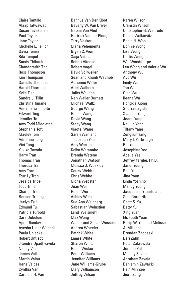Claire Tantillo Alaap Tatwawadi Susan Tavakolian Paul Taylor Jane Taylor Michelle L. Teillon Davia Temin Rita Tempel Sandy Thibault Chandararith Tho Ross Thompson Kim Thompson Danielle Thompson Harold Thornton Kylie Tien Sandra J. Tillin Christina Timane Annamaria Timofte Edward Ting Jennifer To Amy Todd Middleton Stephanie Toft Maeley Tom Adrianne Tong Viet Tong Yukiko Toyoda Harry Tran Thomas Tran Theresa Tran Amy Tran Truc Ly Tran Jessica Tribe Todd Triller Charles Trinh Benson Truong Jaclyn Tsui Edmund Tu Patricia Turbold Sara Uebelein April Ulanday Ayesha Umar Wahedi Paula Uniacke Robert Untiedt Jitendra Upadhyayula Nancy Vail James Vail Martin Vainu Irene Valdez Cynthia Van Caroline H. Van

Bannus Van Der Kloot Beverly W. Van Driver Naomi Van Vliet Hartrick Vander Ploeg Terry Vaskor Maria Vehemente Bryan C. Vien Saija Viitala Robert Vitense Robert Vogel David Vollweiler Sean and Khanh Wachob Adrienne Wafer Ariel Walborn Juliet Wallace Nan Waller Burnett Michael Waltz George Wang Henna Wang David Wang Stacy Wang Xiaofei Wang Sarah Wan and Joseph Yau Amy Warren Keiko Watanabe Brenda Watene Jonathan Watson Melissa J. Weakley Cortez Webb Chris Webbe Gloria Webster Juan Wei Helen Wei Ashley Wein Sue Ann Weinberg Sabastian Weinstien Land Weismehl Max Weng Walter and Susan Wessels Andrea Wheeler Patrick White Emare White Sharon Whitt Helen Wickert Peter Williams Jennifer Williams Jane Williams-Grube Mary Williamson Jeffrey Wilson

Karen Wilson Cranstin Wilson Christopher G. Wintrode Daniel Wolkowitz Robin N. Won Bonnie Wong Lisa Wong Curtis Wong Will Woodthorpe Leo Wong and Valerie Wu Anthony Wu Ayo Wu Emily Wu Tao Wu Qian Wu Ileana Wu Hongxia Xiong Sho Yamagishi Xiaohua Yang Joann Yang Khuluc Yang Tiffany Yang Zengkun Yang Mary I. Yarbrough Bin Ye Josephine Yee Adelia Yee Jeffrey Yergler, Ph.D. Janet Yeung Paul Yi Jina Yoon Linda Yoshino Mandy Young Jacqueline Ytuarte and Sam Garonzik Scott S. Yu Betty Yu Xing Yuan Elizabeth Yuan Philip W. Yun and Melissa A. Millsaps Brendan Zagaeski Bari Zahn Peter Zakrewski Jerome Zall Melody Zavala Abraham Zavala Benjamin Zawacki Hsin Min Zee Jieru Zeng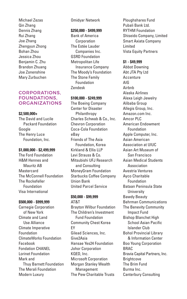Michael Zezas Qin Zhang Dennis Zhang Rui Zhang Joe Zhang Zhengyun Zhong Bohan Zhou Jessica Zhou Benjamin C. Zhu Brandon Zhuang Joe Zonenshine Mary Zurbuchen

#### CORPORATIONS, FOUNDATIONS, ORGANIZATIONS

#### **\$2,500,000+**

The David and Lucile Packard Foundation Google The Henry Luce Foundation, Inc.

#### **\$1,000,000 - \$2,499,999**

The Ford Foundation H&M Hennes and Mauritz AB Mastercard The McConnell Foundation The Rockefeller Foundation Visa International

#### **\$500,000 - \$999,999**

Carnegie Corporation of New York Climate and Land Use Alliance Climate Imperative Foundation ClimateWorks Foundation Facebook Fondation CHANEL Lorinet Foundation Mark and Thuy Barnett Foundation The Merali Foundation Modern Luxury

#### Omidyar Network

#### **\$250,000 - \$499,999**

Bank of America **Corporation** The Estée Lauder Companies Inc. GSRD Foundation Metropolitan Life Insurance Company The Moody's Foundation The Stone Family Foundation Zendesk

#### **\$100,000 - \$249,999**

The Boeing Company Center for Disaster Philanthropy Charles Schwab & Co., Inc. Chevron Corporation Coca-Cola Foundation eBay Friends of The Asia Foundation, Korea Kirkland & Ellis LLP Levi Strauss & Co. Mitsubishi UFJ Research and Consulting MoneyGram Foundation Starbucks Coffee Company Union Bank United Parcel Service

#### **\$50,000 - \$99,999** AT&T

Brayton Wilbur Foundation The Children's Investment Fund Foundation Community Chest Korea EY Gilead Sciences, Inc. Give2Asia Hansae Yes24 Foundation Johor Corporation KQED, Inc. Microsoft Corporation Morgan Stanley Wealth Management The Pew Charitable Trusts

Ploughshares Fund Pubali Bank Ltd. RYTHM Foundation Shiseido Company, Limited Smart Axiata Company Limited Vista Equity Partners

#### **\$1 - \$49,999**

Abbot Downing Abt JTA Pty Ltd **Accenture** AIG Airbnb Alaska Airlines Alexa Leigh Jewelry Alibaba Group Allegis Group, Inc. Amazon.com Inc. Amcor PLC American Endowment Foundation Apple Computer, Inc. Asian American Association at UIUC Asian Art Museum of San Francisco Asian Medical Students Association Avestria Ventures Ayco Charitable Foundation Bataan Peninsula State **University** Bawdy Beauty Behrman Communications The Benevity Community Impact Fund Bishop Blanchet High School Asian Pacific Islander Club Bohol Provincial Library & Information Center Boo Young Corporation BRAC Bravia Capital Partners, Inc. **Brightcove** The Brim Fund Burma Inc. Canterbury Consulting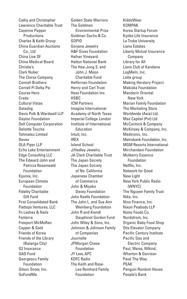Cathy and Christopher Lawrence Charitable Trust Cayenne Pepper Productions Charles & Keith Group China Guardian Auctions Co., Ltd China Live SF China Medical Board Christie's Clark Nuber The Clorox Company Connell Brothers Cornell Pi Delta Psi Course Hero Credo Cultural Vistas Datadog Davis Polk & Wardwell LLP Dayton Foundation Dell Computer Corporation Deloitte Touche Tohmatsu Limited Devex DLA Piper LLP Echo Lake Entertainment Edge Consulting LLC The Edward John and Patricia Rosenwald Foundation Equinix, Inc. European Climate Foundation Fidelity Charitable Gift Fund First Consolidated Bank Flattops Ventures, LLC Fn Lashes & Nails Fonterra Freeport-McMoRan Copper & Gold Friends of Korea Friends of the Library (Balanga City) G2 Insurance GAD Fund Georgescu Family Foundation Gilson Snow, Inc. GoFundMe

Golden State Warriors The Goldman Environmental Prize Goldman Sachs & Co. GOPIO Gorjana Jewelry H&F Gives Foundation Hafner Vineyard Hatton National Bank The Hee-Jung S. and John J. Moon Charitable Fund Heffernan Foundation Henry and Carl Trust Hess Foundation Inc. HSBC ICM Partners Imagine International Academy of North Texas Imperial College London Institute of International Education Intuit, Inc. IREX Island School J/Hadley Jewelry JA Clark Charitable Trust The Japan Society The Japan Society of No. California Japanese Chamber of Commerce John & Miyoko Davey Foundation John Keells Foundation The John L. and Sue Ann Weinberg Foundation John R and Kiendl Dauphinot Gordon Fund John Wiley & Sons, Inc. Johnson & Johnson Family of Companies Journelle JPMorgan Chase Foundation JY Law, APC KDFC Radio The Keith and Rose-Lee Reinhard Family Foundation

KiddoWear KOMPAK Korea Startup Forum Kyobo Life Insurance La Trobe University Liana Estates Liberty Mutual Insurance Company Library for All Lions Club of Kandana LogMeIn, Inc. Lotte group Making Herstory Project Makioka Foundation Mandarin Oriental New York Marian Family Foundation The Marketing Store Worldwide (Asia) Ltd. Mas Capital (Pvt) Ltd McCormick & Company McKinsey & Company, Inc. Medtronic, Inc. Metrobank Foundation, Inc. MGM Resorts International Mirchandani Foundation Mulberry Essence Foundation Netflix, Inc. Network for Good New Light New York Public Radio (WNYC) The Nguyen Family Trust Nike, Inc. Nino Finance, Inc. Nixon Peabody LLP Nomz Foods Co. Nordstrom, Inc. Organic Baby Food Shop Otis Elevator Company Pacific Century Institute Pacific Gas and Electric Company Paul, Weiss, Rifkind, Wharton & Garrison Pavé The Way PEAK Penguin Random House People's Bank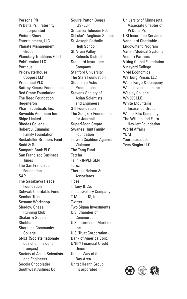Persona PR Pi Delta Psi Fraternity Incorporated Picture Show Entertainment, LLC Planate Management Group Planetary Traditions Fund PohCreation LLC Porticus Pricewaterhouse Coopers LLP Prudential PLC Rattray Kimura Foundation Red Crane Foundation The Reed Foundation **Regeneron** Pharmaceuticals Inc. Reynolds American Inc. Rhipe Limited Rhodes College Robert J. Cummins Family Foundation Rockefeller Brothers Fund Rodd & Gunn Sampath Bank PLC San Francisco Business Times The San Francisco Foundation SAP The Sasakawa Peace Foundation Schwab Charitable Fund Sember Trust Sesame Workshop Shadow Chase Running Club Shaker & Spoon Shobha Shoreline Community College SNCF (Société nationale des chemins de fer français) Society of Asian Scientists and Engineers Socola Chocolatier Southwest Airlines Co.

Squire Patton Boggs (US) LLP Sri Lanka Telecom PLC St Luke's Anglican School St. Joseph Catholic High School St. Vrain Valley Schools District Standard Insurance Company Stanford University The Starr Foundation Stephanie Astic **Productions** Stevens Society of Asian Scientists and Engineers STI Foundation The Sungkok Foundation for Journalism SuperMoon Crypto Swanee Hunt Family Foundation Taiwan Coalition Against Violence The Tang Fund Tatcha Telin - INVERGEN **Terez** Theresa Nelson & Associates Tides Tiffany & Co. Tijo Jewellery Company T-Mobile US, Inc. **Twitter** Two Sigma Investments U.S. Chamber of Commerce U.S. Intermodal Maritime Inc. U.S. Trust Corporation - Bank of America Corp. UNIFY Financial Credit Union United Way of the Bay Area UnitedHealth Group Incorporated

University of Minnesota, Associate Chapter of Pi Delta Psi USI Insurance Services Vanguard Charitable Endowment Program Varian Medical Systems Venturi Partners Viking Global Foundation Vineyard College Vivid Economics Warburg Pincus LLC Wells Fargo & Company Wells Investments Inc. Wesley College Wh 999 LLC White Mountains Insurance Group Wilbur-Ellis Company The William and Flora Hewlett Foundation World Affairs YBM YourCause, LLC Yves Ringler LLC

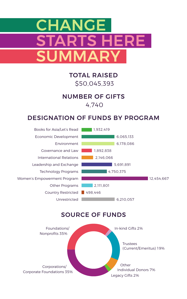

### TOTAL RAISED \$50,045,393

### NUMBER OF GIFTS 4,740

### DESIGNATION OF FUNDS BY PROGRAM

| Books for Asia/Let's Read      | 1.932.419 |           |            |
|--------------------------------|-----------|-----------|------------|
| Economic Development           |           | 6.065.133 |            |
| Environment                    |           | 6.178.086 |            |
| Governance and Law             | 1.892.838 |           |            |
| <b>International Relations</b> | 2.146.066 |           |            |
| Leadership and Exchange        |           | 5.691.891 |            |
| <b>Technology Programs</b>     |           | 4.750.375 |            |
| Women's Empowerment Program    |           |           | 12.454.667 |
| <b>Other Programs</b>          | 2.111.801 |           |            |
| <b>Country Restricted</b>      | 498.446   |           |            |
| Unrestricted                   |           | 6.210.057 |            |

### SOURCE OF FUNDS

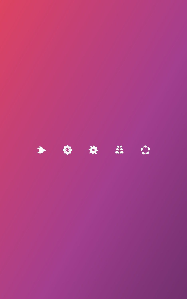